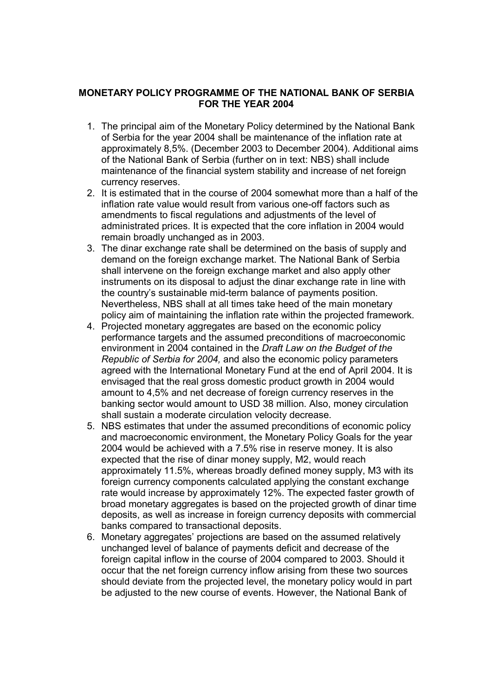## **MONETARY POLICY PROGRAMME OF THE NATIONAL BANK OF SERBIA FOR THE YEAR 2004**

- 1. The principal aim of the Monetary Policy determined by the National Bank of Serbia for the year 2004 shall be maintenance of the inflation rate at approximately 8,5%. (December 2003 to December 2004). Additional aims of the National Bank of Serbia (further on in text: NBS) shall include maintenance of the financial system stability and increase of net foreign currency reserves.
- 2. It is estimated that in the course of 2004 somewhat more than a half of the inflation rate value would result from various one-off factors such as amendments to fiscal regulations and adjustments of the level of administrated prices. It is expected that the core inflation in 2004 would remain broadly unchanged as in 2003.
- 3. The dinar exchange rate shall be determined on the basis of supply and demand on the foreign exchange market. The National Bank of Serbia shall intervene on the foreign exchange market and also apply other instruments on its disposal to adjust the dinar exchange rate in line with the countryís sustainable mid-term balance of payments position. Nevertheless, NBS shall at all times take heed of the main monetary policy aim of maintaining the inflation rate within the projected framework.
- 4. Projected monetary aggregates are based on the economic policy performance targets and the assumed preconditions of macroeconomic environment in 2004 contained in the *Draft Law on the Budget of the Republic of Serbia for 2004,* and also the economic policy parameters agreed with the International Monetary Fund at the end of April 2004. It is envisaged that the real gross domestic product growth in 2004 would amount to 4,5% and net decrease of foreign currency reserves in the banking sector would amount to USD 38 million. Also, money circulation shall sustain a moderate circulation velocity decrease.
- 5. NBS estimates that under the assumed preconditions of economic policy and macroeconomic environment, the Monetary Policy Goals for the year 2004 would be achieved with a 7.5% rise in reserve money. It is also expected that the rise of dinar money supply, M2, would reach approximately 11.5%, whereas broadly defined money supply, M3 with its foreign currency components calculated applying the constant exchange rate would increase by approximately 12%. The expected faster growth of broad monetary aggregates is based on the projected growth of dinar time deposits, as well as increase in foreign currency deposits with commercial banks compared to transactional deposits.
- 6. Monetary aggregatesí projections are based on the assumed relatively unchanged level of balance of payments deficit and decrease of the foreign capital inflow in the course of 2004 compared to 2003. Should it occur that the net foreign currency inflow arising from these two sources should deviate from the projected level, the monetary policy would in part be adjusted to the new course of events. However, the National Bank of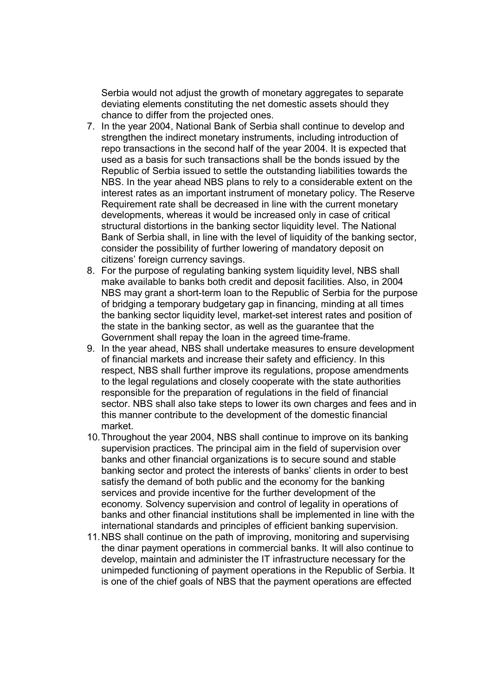Serbia would not adjust the growth of monetary aggregates to separate deviating elements constituting the net domestic assets should they chance to differ from the projected ones.

- 7. In the year 2004, National Bank of Serbia shall continue to develop and strengthen the indirect monetary instruments, including introduction of repo transactions in the second half of the year 2004. It is expected that used as a basis for such transactions shall be the bonds issued by the Republic of Serbia issued to settle the outstanding liabilities towards the NBS. In the year ahead NBS plans to rely to a considerable extent on the interest rates as an important instrument of monetary policy. The Reserve Requirement rate shall be decreased in line with the current monetary developments, whereas it would be increased only in case of critical structural distortions in the banking sector liquidity level. The National Bank of Serbia shall, in line with the level of liquidity of the banking sector, consider the possibility of further lowering of mandatory deposit on citizens' foreign currency savings.
- 8. For the purpose of regulating banking system liquidity level, NBS shall make available to banks both credit and deposit facilities. Also, in 2004 NBS may grant a short-term loan to the Republic of Serbia for the purpose of bridging a temporary budgetary gap in financing, minding at all times the banking sector liquidity level, market-set interest rates and position of the state in the banking sector, as well as the guarantee that the Government shall repay the loan in the agreed time-frame.
- 9. In the year ahead, NBS shall undertake measures to ensure development of financial markets and increase their safety and efficiency. In this respect, NBS shall further improve its regulations, propose amendments to the legal regulations and closely cooperate with the state authorities responsible for the preparation of regulations in the field of financial sector. NBS shall also take steps to lower its own charges and fees and in this manner contribute to the development of the domestic financial market.
- 10. Throughout the year 2004, NBS shall continue to improve on its banking supervision practices. The principal aim in the field of supervision over banks and other financial organizations is to secure sound and stable banking sector and protect the interests of banks' clients in order to best satisfy the demand of both public and the economy for the banking services and provide incentive for the further development of the economy. Solvency supervision and control of legality in operations of banks and other financial institutions shall be implemented in line with the international standards and principles of efficient banking supervision.
- 11. NBS shall continue on the path of improving, monitoring and supervising the dinar payment operations in commercial banks. It will also continue to develop, maintain and administer the IT infrastructure necessary for the unimpeded functioning of payment operations in the Republic of Serbia. It is one of the chief goals of NBS that the payment operations are effected